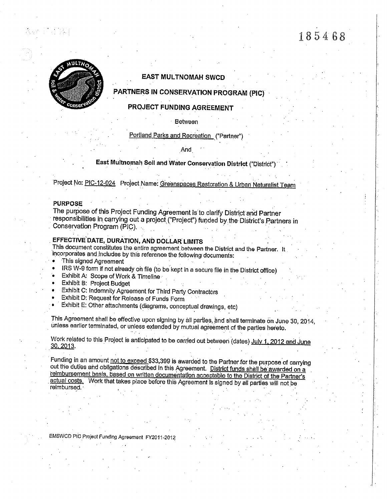# 185468



# **EAST MULTNOMAH SWCD**

# PARTNERS IN CONSERVATION PROGRAM (PIC)

# PROJECT FUNDING AGREEMENT

Between

Portland Parks and Recreation ("Partner")

And

East Multnomah Soil and Water Conservation District ("District")

Project No: PIC-12-024 Project Name: Greenspaces Restoration & Urban Naturalist Team

## **PURPOSE**

The purpose of this Project Funding Agreement is to clarify District and Partner responsibilities in carrying out a project ("Project") funded by the District's Partners in Conservation Program (PIC).

# EFFECTIVE DATE, DURATION, AND DOLLAR LIMITS

This document constitutes the entire agreement between the District and the Partner. It incorporates and includes by this reference the following documents:

This signed Agreement

IRS W-9 form if not already on file (to be kept in a secure file in the District office)

- Exhibit A: Scope of Work & Timeline
- **Exhibit B: Project Budget**
- Exhibit C: Indemnity Agreement for Third Party Contractors
- Exhibit D: Request for Release of Funds Form
- Exhibit E: Other attachments (diagrams, conceptual drawings, etc)

This Agreement shall be effective upon signing by all parties, and shall terminate on June 30, 2014, unless earlier terminated, or unless extended by mutual agreement of the parties hereto.

Work related to this Project is anticipated to be carried out between (dates) July 1, 2012 and June 30, 2013.

Funding in an amount not to exceed \$33,399 is awarded to the Partner for the purpose of carrying out the duties and obligations described in this Agreement. District funds shall be awarded on a reimbursement basis, based on written documentation acceptable to the District of the Partner's actual costs. Work that takes place before this Agreement is signed by all partles will not be reimbursed.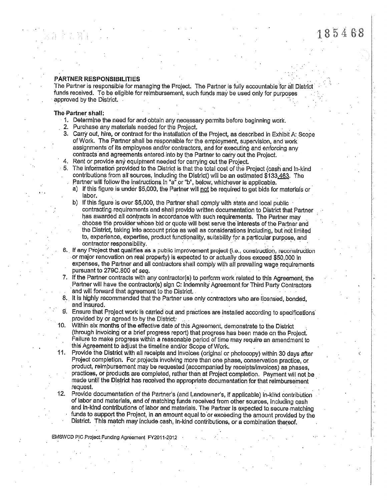### **PARTNER RESPONSIBILITIES**

The Partner is responsible for managing the Project. The Partner is fully accountable for all District funds received. To be eligible for reimbursement, such funds may be used only for purposes approved by the District.

### The Partner shall;

- 1. Determine the need for and obtain any necessary permits before beginning work.
- 2. Purchase any materials needed for the Project.
- 3. Carry out, hire, or contract for the installation of the Project, as described in Exhibit A: Scope of Work. The Partner shall be responsible for the employment, supervision, and work assignments of its employees and/or contractors, and for executing and enforcing any contracts and agreements entered into by the Partner to carry out the Project.
- 4. Rent or provide any equipment needed for carrying out the Project.
- 5. The information provided to the District is that the total cost of the Project (cash and ln-kind contributions from all sources, including the District) will be an estimated \$133,463. The Partner will follow the instructions in "a" or "b", below, whichever is applicable.
	- a) If this figure is under \$5,000, the Partner will not be required to get bids for materials or labor.
	- b) If this figure is over \$5,000, the Partner shall comply with state and local public contracting requirements and shall provide written documentation to District that Partner has awarded all contracts in accordance with such requirements. The Partner may choose the provider whose bid or quote will best serve the interests of the Partner and the District, taking into account price as well as considerations including, but not limited to, experience, expertise, product functionality, suitability for a particular purpose, and contractor responsibility.
- 6. If any Project that qualifies as a public improvement project (i.e., construction, reconstruction or major renovation on real property) is expected to or actually does exceed \$50,000 in expenses, the Partner and all contractors shall comply with all prevailing wage requirements pursuant to 279C.800 et seq.
- 7. If the Partner contracts with any contractor(s) to perform work related to this Agreement, the Partner will have the contractor(s) sign C: Indemnity Agreement for Third Party Contractors and will forward that agreement to the District.
- 8. It is highly recommended that the Partner use only contractors who are licensed, bonded, and insured.
- Ensure that Profect work is carried out and practices are installed according to specifications  $9.$ provided by or agreed to by the District:
- Within six months of the effective date of this Agreement, demonstrate to the District (through invoicing or a brief progress report) that progress has been made on the Project. Failure to make progress within a reasonable period of time may require an amendment to this Agreement to adjust the timeline and/or Scope of Work.
- Provide the District with all receipts and invoices (original or photocopy) within 30 days after 11. Project completion. For projects involving more than one phase, conservation practice, or product, reimbursement may be requested (accompanied by receipts/invoices) as phases, practices, or products are completed, rather than at Project completion. Payment will not be made until the District has received the appropriate documentation for that reimbursement request.
- Provide documentation of the Partner's (and Landowner's, if applicable) in-kind contribution  $12.$ of labor and materials, and of matching funds received from other sources, including cash and in-kind contributions of labor and materials. The Partner is expected to secure matching funds to support the Project, in an amount equal to or exceeding the amount provided by the District. This match may include cash, in-kind contributions, or a combination thereof.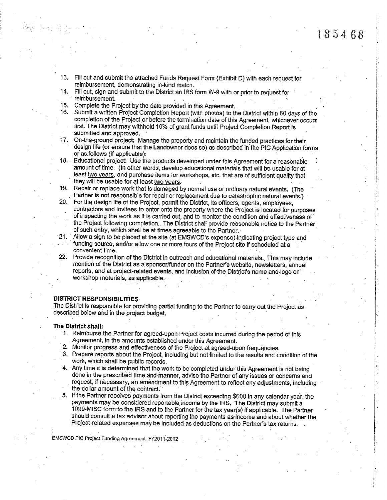- 13. Fill out and submit the attached Funds Request Form (Exhibit D) with each request for reimbursement, demonstrating in-kind match.
- 14. Fill out, sign and submit to the District an IRS form W-9 with or prior to request for reimbursement.
- 15. Complete the Project by the date provided in this Agreement.
- 16. Submit a written Project Completion Report (with photos) to the District within 60 days of the completion of the Project or before the termination date of this Agreement, whichever occurs first. The District may withhold 10% of grant funds until Project Completion Report is submitted and approved.
- 17. On-the-ground project: Manage the property and maintain the funded practices for their design life (or ensure that the Landowner does so) as described in the PIC Application forms or as follows (if applicable):
- 18. Educational project: Use the products developed under this Agreement for a reasonable amount of time. (In other words, develop educational materials that will be usable for at least two years, and purchase items for workshops, etc. that are of sufficient quality that they will be usable for at least two years.
- 19. Repair or replace work that is damaged by normal use or ordinary natural events. (The Partner is not responsible for repair or replacement due to catastrophic natural events.)
- 20. For the design life of the Project, permit the District, its officers, agents, employees, contractors and invitees to enter onto the property where the Project is located for purposes of inspecting the work as it is carried out, and to monitor the condition and effectiveness of the Project following completion. The District shall provide reasonable notice to the Partner of such entry, which shall be at times agreeable to the Partner.
- 21. Allow a sign to be placed at the site (at EMSWCD's expense) indicating project type and funding source, and/or allow one or more tours of the Prolect site if scheduled at a convenient time.
- 22. Provide recognition of the District in outreach and educational materials. This may include mention of the District as a sponsor/funder on the Partner's website, newsletters, annual reports, and at project-related events, and inclusion of the District's name and logo on workshop materials, as applicable.

### **DISTRICT RESPONSIBILITIES**

The District is responsible for providing partial funding to the Partner to carry out the Project as described below and in the project budget.

### The District shall:

- 1. Reimburse the Partner for agreed-upon Project costs incurred during the period of this Agreement, in the amounts established under this Agreement.
- 2. Monitor progress and effectiveness of the Project at agreed-upon frequencies.
- 3. Prepare reports about the Project, including but not limited to the results and condition of the work, which shall be public records.
- 4. Any time it is determined that the work to be completed under this Agreement is not being done in the prescribed time and manner, advise the Partner of any issues or concerns and request, if necessary, an amendment to this Agreement to reflect any adjustments, including the dollar amount of the contract.
- If the Partner receives payments from the District exceeding \$600 in any calendar year, the 5. payments may be considered reportable income by the IRS. The District may submit a 1099-MISC form to the IRS and to the Partner for the tax year(s) if applicable. The Partner should consult a tax advisor about reporting the payments as income and about whether the Project-related expenses may be included as deductions on the Partner's tax returns.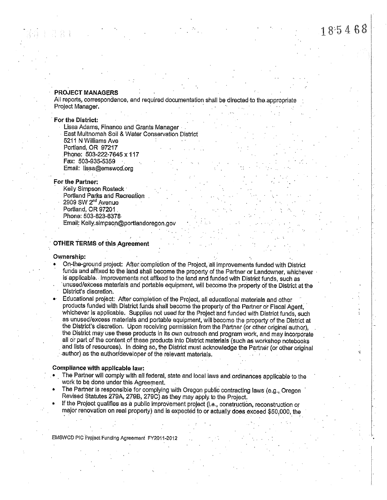# 185468

## **PROJECT MANAGERS**

All reports, correspondence, and required documentation shall be directed to the appropriate Project Manager.

### For the District:

- Lissa Adams, Finance and Grants Manager -
- East Multnomah Soil & Water Conservation District
- 5211 N Williams Ave Portland, OR 97217 Phone: 503-222-7645 x 117 Fax: 503-935-5359
- Email: lissa@emswcd.org

### For the Partner:

- Kelly Simpson Rosteck ·
- Portland Parks and Recreation
- 2909 SW 2<sup>nd</sup> Avenue
- Portland, OR 97201
- Phone: 503-823-6378
- Email: Kelly.simpson@portlandoregon.gov

# **OTHER TERMS of this Agreement**

### Ownership:

- On-the-ground project: After completion of the Project, all improvements funded with District funds and affixed to the land shall become the property of the Partner or Landowner, whichever is applicable. Improvements not affixed to the land and funded with District funds, such as
- unused/excess materials and portable equipment, will become the property of the District at the District's discretion.
- Educational project: After completion of the Project, all educational materials and other products funded with District funds shall become the property of the Partner or Fiscal Agent, whichever is applicable. Supplies not used for the Project and funded with District funds, such as unused/excess materials and portable equipment, will become the property of the District at the District's discretion. Upon receiving permission from the Partner (or other original author), the District may use these products in its own outreach and program work, and may incorporate all or part of the content of these products into District materials (such as workshop notebooks and lists of resources). In doing so, the District must acknowledge the Partner (or other original author) as the author/developer of the relevant materials.

#### Compliance with applicable law:

- The Partner will comply with all federal, state and local laws and ordinances applicable to the work to be done under this Agreement.
- The Partner is responsible for complying with Oregon public contracting laws (e.g., Oregon Revised Statutes 279A, 279B, 279C) as they may apply to the Project.
- If the Project qualifies as a public improvement project (i.e., construction, reconstruction or major renovation on real property) and is expected to or actually does exceed \$50,000, the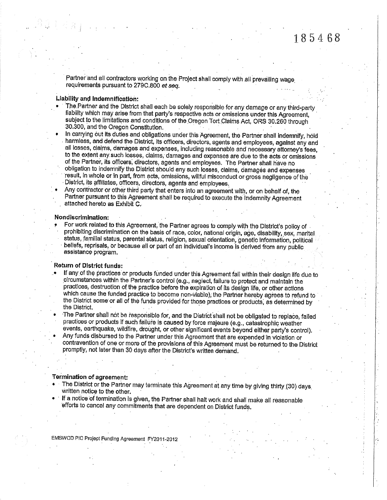Partner and all contractors working on the Project shall comply with all prevailing wage requirements pursuant to 279C.800 et seq.

### Liability and indemnification:

- The Partner and the District shall each be solely responsible for any damage or any third-party liability which may arise from that party's respective acts or omissions under this Agreement, subject to the limitations and conditions of the Oregon Tort Claims Act, ORS 30.260 through 30.300, and the Oregon Constitution.
- In carrying out its duties and obligations under this Agreement, the Partner shall indemnify, hold harmless, and defend the District, its officers, directors, agents and employees, against any and all losses, claims, damages and expenses, including reasonable and necessary attorney's fees, to the extent any such losses, claims, damages and expenses are due to the acts or omissions of the Partner, its officers, directors, agents and employees. The Partner shall have no obligation to indemnify the District should any such losses, claims, damages and expenses result, in whole or in part, from acts, omissions, willful misconduct or gross negligence of the District, its affiliates, officers, directors, agents and employees.
- Any contractor or other third party that enters into an agreement with, or on behalf of, the Partner pursuant to this Agreement shall be required to execute the Indemnity Agreement attached hereto as Exhibit C.

### Nondiscrimination:

For work related to this Agreement, the Partner agrees to comply with the District's policy of prohibiting discrimination on the basis of race, color, national origin, age, disability, sex, marital status, familial status, parental status, religion, sexual orientation, genetic information, political beliefs, reprisals, or because all or part of an individual's income is derived from any public assistance program.

# **Return of District funds:**

- If any of the practices or products funded under this Agreement fall within their design life due to circumstances within the Partner's control (e.g., neglect, failure to protect and maintain the practices, destruction of the practice before the expiration of its design life, or other actions which cause the funded practice to become non-viable), the Partner hereby agrees to refund to the District some or all of the funds provided for those practices or products, as determined by the District.
- The Partner shall not be responsible for, and the District shall not be obligated to replace, failed practices or products if such failure is caused by force majeure (e.g., catastrophic weather events, earthquake, wildfire, drought, or other significant events beyond either party's control).
- Any funds disbursed to the Partner under this Agreement that are expended in violation or contravention of one or more of the provisions of this Agreement must be returned to the District promptly, not later than 30 days after the District's written demand.

# Termination of agreement:

- The District or the Partner may terminate this Agreement at any time by giving thirty (30) days written notice to the other.
- If a notice of termination is given, the Partner shall halt work and shall make all reasonable efforts to cancel any commitments that are dependent on District funds.